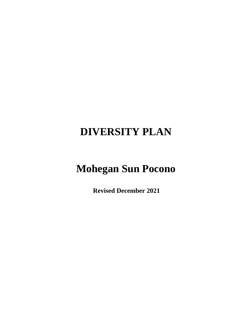# **DIVERSITY PLAN**

# **Mohegan Sun Pocono**

 **Revised December 2021**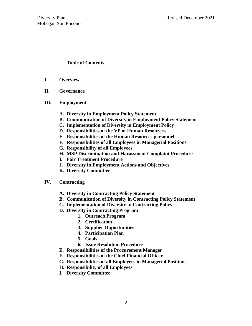# **Table of Contents**

- **I. Overview**
- **II. Governance**
- **III. Employment**
	- **A. Diversity in Employment Policy Statement**
	- **B. Communication of Diversity in Employment Policy Statement**
	- **C. Implementation of Diversity in Employment Policy**
	- **D. Responsibilities of the VP of Human Resources**
	- **E. Responsibilities of the Human Resources personnel**
	- **F. Responsibilities of all Employees in Managerial Positions**
	- **G. Responsibility of all Employees**
	- **H. MSP Discrimination and Harassment Complaint Procedure**
	- **I. Fair Treatment Procedure**
	- **J. Diversity in Employment Actions and Objectives**
	- **K. Diversity Committee**

#### **IV. Contracting**

- **A. Diversity in Contracting Policy Statement**
- **B. Communication of Diversity in Contracting Policy Statement**
- **C. Implementation of Diversity in Contracting Policy**
- **D. Diversity in Contracting Program**
	- **1. Outreach Program**
	- **2. Certification**
	- **3. Supplier Opportunities**
	- **4. Participation Plan**
	- **5. Goals**
	- **6. Issue Resolution Procedure**
- **E. Responsibilities of the Procurement Manager**
- **F. Responsibilities of the Chief Financial Officer**
- **G. Responsibilities of all Employees in Managerial Positions**
- **H. Responsibility of all Employees**
- **I. Diversity Committee**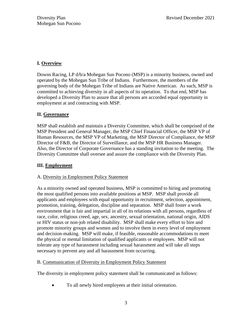# **I. Overview**

Downs Racing, LP d/b/a Mohegan Sun Pocono (MSP) is a minority business, owned and operated by the Mohegan Sun Tribe of Indians. Furthermore, the members of the governing body of the Mohegan Tribe of Indians are Native American. As such, MSP is committed to achieving diversity in all aspects of its operation. To that end, MSP has developed a Diversity Plan to assure that all persons are accorded equal opportunity in employment at and contracting with MSP.

# **II. Governance**

MSP shall establish and maintain a Diversity Committee, which shall be comprised of the MSP President and General Manager, the MSP Chief Financial Officer, the MSP VP of Human Resources, the MSP VP of Marketing, the MSP Director of Compliance, the MSP Director of F&B, the Director of Surveillance, and the MSP HR Business Manager. Also, the Director of Corporate Governance has a standing invitation to the meeting. The Diversity Committee shall oversee and assure the compliance with the Diversity Plan.

# **III. Employment**

# A. Diversity in Employment Policy Statement

As a minority owned and operated business, MSP is committed to hiring and promoting the most qualified persons into available positions at MSP. MSP shall provide all applicants and employees with equal opportunity in recruitment, selection, appointment, promotion, training, delegation, discipline and separation. MSP shall foster a work environment that is fair and impartial in all of its relations with all persons, regardless of race, color, religious creed, age, sex, ancestry, sexual orientation, national origin, AIDS or HIV status or non-job related disability. MSP shall make every effort to hire and promote minority groups and women and to involve them in every level of employment and decision-making. MSP will make, if feasible, reasonable accommodations to meet the physical or mental limitation of qualified applicants or employees. MSP will not tolerate any type of harassment including sexual harassment and will take all steps necessary to prevent any and all harassment from occurring.

# B. Communication of Diversity in Employment Policy Statement

The diversity in employment policy statement shall be communicated as follows:

• To all newly hired employees at their initial orientation.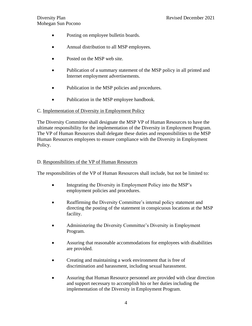- Posting on employee bulletin boards.
- Annual distribution to all MSP employees.
- Posted on the MSP web site.
- Publication of a summary statement of the MSP policy in all printed and Internet employment advertisements.
- Publication in the MSP policies and procedures.
- Publication in the MSP employee handbook.

## C. Implementation of Diversity in Employment Policy

The Diversity Committee shall designate the MSP VP of Human Resources to have the ultimate responsibility for the implementation of the Diversity in Employment Program. The VP of Human Resources shall delegate these duties and responsibilities to the MSP Human Resources employees to ensure compliance with the Diversity in Employment Policy.

## D. Responsibilities of the VP of Human Resources

The responsibilities of the VP of Human Resources shall include, but not be limited to:

- Integrating the Diversity in Employment Policy into the MSP's employment policies and procedures.
- Reaffirming the Diversity Committee's internal policy statement and directing the posting of the statement in conspicuous locations at the MSP facility.
- Administering the Diversity Committee's Diversity in Employment Program.
- Assuring that reasonable accommodations for employees with disabilities are provided.
- Creating and maintaining a work environment that is free of discrimination and harassment, including sexual harassment.
- Assuring that Human Resource personnel are provided with clear direction and support necessary to accomplish his or her duties including the implementation of the Diversity in Employment Program.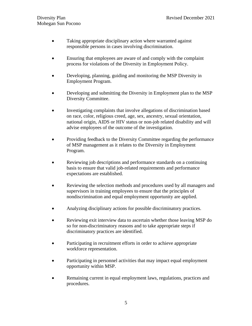- Taking appropriate disciplinary action where warranted against responsible persons in cases involving discrimination.
- Ensuring that employees are aware of and comply with the complaint process for violations of the Diversity in Employment Policy.
- Developing, planning, guiding and monitoring the MSP Diversity in Employment Program.
- Developing and submitting the Diversity in Employment plan to the MSP Diversity Committee.
- Investigating complaints that involve allegations of discrimination based on race, color, religious creed, age, sex, ancestry, sexual orientation, national origin, AIDS or HIV status or non-job related disability and will advise employees of the outcome of the investigation.
- Providing feedback to the Diversity Committee regarding the performance of MSP management as it relates to the Diversity in Employment Program.
- Reviewing job descriptions and performance standards on a continuing basis to ensure that valid job-related requirements and performance expectations are established.
- Reviewing the selection methods and procedures used by all managers and supervisors in training employees to ensure that the principles of nondiscrimination and equal employment opportunity are applied.
- Analyzing disciplinary actions for possible discriminatory practices.
- Reviewing exit interview data to ascertain whether those leaving MSP do so for non-discriminatory reasons and to take appropriate steps if discriminatory practices are identified.
- Participating in recruitment efforts in order to achieve appropriate workforce representation.
- Participating in personnel activities that may impact equal employment opportunity within MSP.
- Remaining current in equal employment laws, regulations, practices and procedures.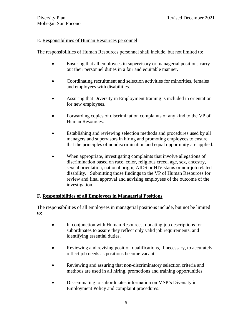### E. Responsibilities of Human Resources personnel

The responsibilities of Human Resources personnel shall include, but not limited to:

- Ensuring that all employees in supervisory or managerial positions carry out their personnel duties in a fair and equitable manner.
- Coordinating recruitment and selection activities for minorities, females and employees with disabilities.
- Assuring that Diversity in Employment training is included in orientation for new employees.
- Forwarding copies of discrimination complaints of any kind to the VP of Human Resources.
- Establishing and reviewing selection methods and procedures used by all managers and supervisors in hiring and promoting employees to ensure that the principles of nondiscrimination and equal opportunity are applied.
- When appropriate, investigating complaints that involve allegations of discrimination based on race, color, religious creed, age, sex, ancestry, sexual orientation, national origin, AIDS or HIV status or non-job related disability. Submitting those findings to the VP of Human Resources for review and final approval and advising employees of the outcome of the investigation.

# **F. Responsibilities of all Employees in Managerial Positions**

The responsibilities of all employees in managerial positions include, but not be limited to:

- In conjunction with Human Resources, updating job descriptions for subordinates to assure they reflect only valid job requirements, and identifying essential duties.
- Reviewing and revising position qualifications, if necessary, to accurately reflect job needs as positions become vacant.
- Reviewing and assuring that non-discriminatory selection criteria and methods are used in all hiring, promotions and training opportunities.
- Disseminating to subordinates information on MSP's Diversity in Employment Policy and complaint procedures.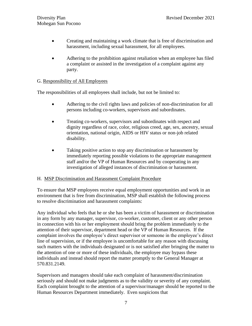- Creating and maintaining a work climate that is free of discrimination and harassment, including sexual harassment, for all employees.
- Adhering to the prohibition against retaliation when an employee has filed a complaint or assisted in the investigation of a complaint against any party.

## G. Responsibility of All Employees

The responsibilities of all employees shall include, but not be limited to:

- Adhering to the civil rights laws and policies of non-discrimination for all persons including co-workers, supervisors and subordinates.
- Treating co-workers, supervisors and subordinates with respect and dignity regardless of race, color, religious creed, age, sex, ancestry, sexual orientation, national origin, AIDS or HIV status or non-job related disability.
- Taking positive action to stop any discrimination or harassment by immediately reporting possible violations to the appropriate management staff and/or the VP of Human Resources and by cooperating in any investigation of alleged instances of discrimination or harassment.

#### H. MSP Discrimination and Harassment Complaint Procedure

To ensure that MSP employees receive equal employment opportunities and work in an environment that is free from discrimination, MSP shall establish the following process to resolve discrimination and harassment complaints:

Any individual who feels that he or she has been a victim of harassment or discrimination in any form by any manager, supervisor, co-worker, customer, client or any other person in connection with his or her employment should bring the problem immediately to the attention of their supervisor, department head or the VP of Human Resources. If the complaint involves the employee's direct supervisor or someone in the employee's direct line of supervision, or if the employee is uncomfortable for any reason with discussing such matters with the individuals designated or is not satisfied after bringing the matter to the attention of one or more of these individuals, the employee may bypass these individuals and instead should report the matter promptly to the General Manager at 570.831.2149.

Supervisors and managers should take each complaint of harassment/discrimination seriously and should not make judgments as to the validity or severity of any complaint. Each complaint brought to the attention of a supervisor/manager should be reported to the Human Resources Department immediately. Even suspicions that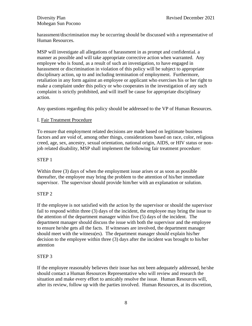harassment/discrimination may be occurring should be discussed with a representative of Human Resources.

MSP will investigate all allegations of harassment in as prompt and confidential. a manner as possible and will take appropriate corrective action when warranted. Any employee who is found, as a result of such an investigation, to have engaged in harassment or discrimination in violation of this policy will be subject to appropriate disciplinary action, up to and including termination of employment. Furthermore, retaliation in any form against an employee or applicant who exercises his or her right to make a complaint under this policy or who cooperates in the investigation of any such complaint is strictly prohibited, and will itself be cause for appropriate disciplinary action.

Any questions regarding this policy should be addressed to the VP of Human Resources.

# I. Fair Treatment Procedure

To ensure that employment related decisions are made based on legitimate business factors and are void of, among other things, considerations based on race, color, religious creed, age, sex, ancestry, sexual orientation, national origin, AIDS, or HIV status or nonjob related disability, MSP shall implement the following fair treatment procedure:

# STEP 1

Within three (3) days of when the employment issue arises or as soon as possible thereafter, the employee may bring the problem to the attention of his/her immediate supervisor. The supervisor should provide him/her with an explanation or solution.

# STEP 2

If the employee is not satisfied with the action by the supervisor or should the supervisor fail to respond within three (3) days of the incident, the employee may bring the issue to the attention of the department manager within five (5) days of the incident. The department manager should discuss the issue with both the supervisor and the employee to ensure he/she gets all the facts. If witnesses are involved, the department manager should meet with the witness(es). The department manager should explain his/her decision to the employee within three (3) days after the incident was brought to his/her attention

# STEP 3

If the employee reasonably believes their issue has not been adequately addressed, he/she should contact a Human Resources Representative who will review and research the situation and make every effort to amicably resolve the issue. Human Resources will, after its review, follow up with the parties involved. Human Resources, at its discretion,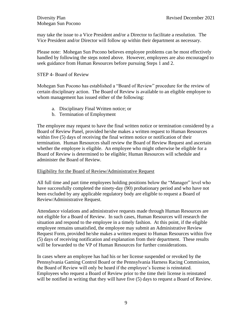may take the issue to a Vice President and/or a Director to facilitate a resolution. The Vice President and/or Director will follow up within their department as necessary.

Please note: Mohegan Sun Pocono believes employee problems can be most effectively handled by following the steps noted above. However, employees are also encouraged to seek guidance from Human Resources before pursuing Steps 1 and 2.

### STEP 4- Board of Review

Mohegan Sun Pocono has established a "Board of Review" procedure for the review of certain disciplinary action. The Board of Review is available to an eligible employee to whom management has issued either of the following:

- a. Disciplinary Final Written notice; or
- b. Termination of Employment

The employee may request to have the final written notice or termination considered by a Board of Review Panel, provided he/she makes a written request to Human Resources within five (5) days of receiving the final written notice or notification of their termination. Human Resources shall review the Board of Review Request and ascertain whether the employee is eligible. An employee who might otherwise be eligible for a Board of Review is determined to be eligible; Human Resources will schedule and administer the Board of Review.

#### Eligibility for the Board of Review/Administrative Request

All full time and part time employees holding positions below the "Manager" level who have successfully completed the ninety-day (90) probationary period and who have not been excluded by any applicable regulatory body are eligible to request a Board of Review/Administrative Request.

Attendance violations and administrative requests made through Human Resources are not eligible for a Board of Review. In such cases, Human Resources will research the situation and respond to the employee in a timely fashion. At this point, if the eligible employee remains unsatisfied, the employee may submit an Administrative Review Request Form, provided he/she makes a written request to Human Resources within five (5) days of receiving notification and explanation from their department. These results will be forwarded to the VP of Human Resources for further considerations.

In cases where an employee has had his or her license suspended or revoked by the Pennsylvania Gaming Control Board or the Pennsylvania Harness Racing Commission, the Board of Review will only be heard if the employee's license is reinstated. Employees who request a Board of Review prior to the time their license is reinstated will be notified in writing that they will have five (5) days to request a Board of Review.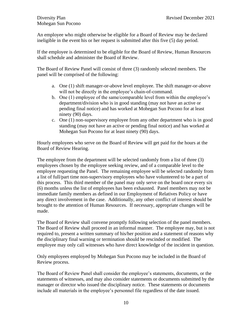An employee who might otherwise be eligible for a Board of Review may be declared ineligible in the event his or her request is submitted after this five (5) day period.

If the employee is determined to be eligible for the Board of Review, Human Resources shall schedule and administer the Board of Review.

The Board of Review Panel will consist of three (3) randomly selected members. The panel will be comprised of the following:

- a. One (1) shift manager-or-above level employee. The shift manager-or-above will not be directly in the employee's chain-of-command.
- b. One (1) employee of the same/comparable level from within the employee's department/division who is in good standing (may not have an active or pending final notice) and has worked at Mohegan Sun Pocono for at least ninety (90) days.
- c. One (1) non-supervisory employee from any other department who is in good standing (may not have an active or pending final notice) and has worked at Mohegan Sun Pocono for at least ninety (90) days.

Hourly employees who serve on the Board of Review will get paid for the hours at the Board of Review Hearing.

The employee from the department will be selected randomly from a list of three (3) employees chosen by the employee seeking review, and of a comparable level to the employee requesting the Panel. The remaining employee will be selected randomly from a list of full/part time non-supervisory employees who have volunteered to be a part of this process. This third member of the panel may only serve on the board once every six (6) months unless the list of employees has been exhausted. Panel members may not be immediate family members as defined in our Employment of Relatives Policy or have any direct involvement in the case. Additionally, any other conflict of interest should be brought to the attention of Human Resources. If necessary, appropriate changes will be made.

The Board of Review shall convene promptly following selection of the panel members. The Board of Review shall proceed in an informal manner. The employee may, but is not required to, present a written summary of his/her position and a statement of reasons why the disciplinary final warning or termination should be rescinded or modified. The employee may only call witnesses who have direct knowledge of the incident in question.

Only employees employed by Mohegan Sun Pocono may be included in the Board of Review process.

The Board of Review Panel shall consider the employee's statements, documents, or the statements of witnesses, and may also consider statements or documents submitted by the manager or director who issued the disciplinary notice. These statements or documents include all materials in the employee's personnel file regardless of the date issued.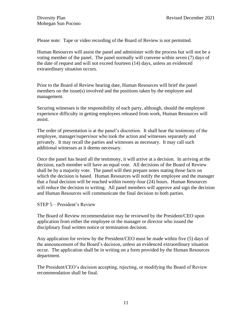Please note: Tape or video recording of the Board of Review is not permitted.

Human Resources will assist the panel and administer with the process but will not be a voting member of the panel. The panel normally will convene within seven (7) days of the date of request and will not exceed fourteen (14) days, unless an evidenced extraordinary situation occurs.

Prior to the Board of Review hearing date, Human Resources will brief the panel members on the issue(s) involved and the positions taken by the employee and management.

Securing witnesses is the responsibility of each party, although, should the employee experience difficulty in getting employees released from work, Human Resources will assist.

The order of presentation is at the panel's discretion. It shall hear the testimony of the employee, manager/supervisor who took the action and witnesses separately and privately. It may recall the parties and witnesses as necessary. It may call such additional witnesses as it deems necessary.

Once the panel has heard all the testimony, it will arrive at a decision. In arriving at the decision, each member will have an equal vote. All decisions of the Board of Review shall be by a majority vote. The panel will then prepare notes stating those facts on which the decision is based. Human Resources will notify the employee and the manager that a final decision will be reached within twenty-four (24) hours. Human Resources will reduce the decision to writing. All panel members will approve and sign the decision and Human Resources will communicate the final decision to both parties.

STEP 5 – President's Review

The Board of Review recommendation may be reviewed by the President/CEO upon application from either the employee or the manager or director who issued the disciplinary final written notice or termination decision.

Any application for review by the President/CEO must be made within five (5) days of the announcement of the Board's decision, unless an evidenced extraordinary situation occur. The application shall be in writing on a form provided by the Human Resources department.

The President/CEO's decision accepting, rejecting, or modifying the Board of Review recommendation shall be final.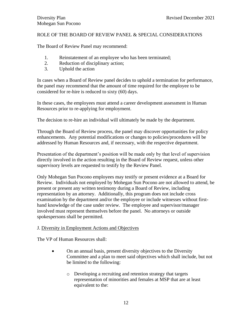# ROLE OF THE BOARD OF REVIEW PANEL & SPECIAL CONSIDERATIONS

The Board of Review Panel may recommend:

- 1. Reinstatement of an employee who has been terminated;
- 2. Reduction of disciplinary action;
- 3. Uphold the action

In cases when a Board of Review panel decides to uphold a termination for performance, the panel may recommend that the amount of time required for the employee to be considered for re-hire is reduced to sixty (60) days.

In these cases, the employees must attend a career development assessment in Human Resources prior to re-applying for employment.

The decision to re-hire an individual will ultimately be made by the department.

Through the Board of Review process, the panel may discover opportunities for policy enhancements. Any potential modifications or changes to policies/procedures will be addressed by Human Resources and, if necessary, with the respective department.

Presentation of the department's position will be made only by that level of supervision directly involved in the action resulting in the Board of Review request, unless other supervisory levels are requested to testify by the Review Panel.

Only Mohegan Sun Pocono employees may testify or present evidence at a Board for Review. Individuals not employed by Mohegan Sun Pocono are not allowed to attend, be present or present any written testimony during a Board of Review, including representation by an attorney. Additionally, this program does not include cross examination by the department and/or the employee or include witnesses without firsthand knowledge of the case under review. The employee and supervisor/manager involved must represent themselves before the panel. No attorneys or outside spokespersons shall be permitted.

#### J. Diversity in Employment Actions and Objectives

The VP of Human Resources shall:

- On an annual basis, present diversity objectives to the Diversity Committee and a plan to meet said objectives which shall include, but not be limited to the following:
	- o Developing a recruiting and retention strategy that targets representation of minorities and females at MSP that are at least equivalent to the: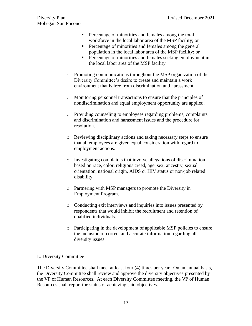- Percentage of minorities and females among the total workforce in the local labor area of the MSP facility; or
- **•** Percentage of minorities and females among the general population in the local labor area of the MSP facility; or
- Percentage of minorities and females seeking employment in the local labor area of the MSP facility
- o Promoting communications throughout the MSP organization of the Diversity Committee's desire to create and maintain a work environment that is free from discrimination and harassment.
- o Monitoring personnel transactions to ensure that the principles of nondiscrimination and equal employment opportunity are applied.
- o Providing counseling to employees regarding problems, complaints and discrimination and harassment issues and the procedure for resolution.
- o Reviewing disciplinary actions and taking necessary steps to ensure that all employees are given equal consideration with regard to employment actions.
- o Investigating complaints that involve allegations of discrimination based on race, color, religious creed, age, sex, ancestry, sexual orientation, national origin, AIDS or HIV status or non-job related disability.
- o Partnering with MSP managers to promote the Diversity in Employment Program.
- o Conducting exit interviews and inquiries into issues presented by respondents that would inhibit the recruitment and retention of qualified individuals.
- o Participating in the development of applicable MSP policies to ensure the inclusion of correct and accurate information regarding all diversity issues.

# L. Diversity Committee

The Diversity Committee shall meet at least four (4) times per year. On an annual basis, the Diversity Committee shall review and approve the diversity objectives presented by the VP of Human Resources. At each Diversity Committee meeting, the VP of Human Resources shall report the status of achieving said objectives.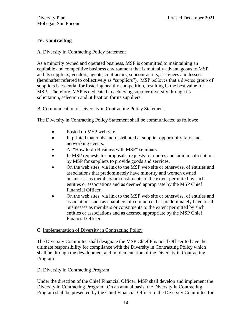# **IV. Contracting**

### A. Diversity in Contracting Policy Statement

As a minority owned and operated business, MSP is committed to maintaining an equitable and competitive business environment that is mutually advantageous to MSP and its suppliers, vendors, agents, contractors, subcontractors, assignees and lessees (hereinafter referred to collectively as "suppliers"). MSP believes that a diverse group of suppliers is essential for fostering healthy competition, resulting in the best value for MSP. Therefore, MSP is dedicated to achieving supplier diversity through its solicitation, selection and utilization for its suppliers.

## B. Communication of Diversity in Contracting Policy Statement

The Diversity in Contracting Policy Statement shall be communicated as follows:

- Posted on MSP web-site
- In printed materials and distributed at supplier opportunity fairs and networking events.
- At "How to do Business with MSP" seminars.
- In MSP requests for proposals, requests for quotes and similar solicitations by MSP for suppliers to provide goods and services.
- On the web sites, via link to the MSP web site or otherwise, of entities and associations that predominately have minority and women owned businesses as members or constituents to the extent permitted by such entities or associations and as deemed appropriate by the MSP Chief Financial Officer.
- On the web sites, via link to the MSP web site or otherwise, of entities and associations such as chambers of commerce that predominately have local businesses as members or constituents to the extent permitted by such entities or associations and as deemed appropriate by the MSP Chief Financial Officer.

#### C. Implementation of Diversity in Contracting Policy

The Diversity Committee shall designate the MSP Chief Financial Officer to have the ultimate responsibility for compliance with the Diversity in Contracting Policy which shall be through the development and implementation of the Diversity in Contracting Program.

#### D. Diversity in Contracting Program

Under the direction of the Chief Financial Officer, MSP shall develop and implement the Diversity in Contracting Program. On an annual basis, the Diversity in Contracting Program shall be presented by the Chief Financial Officer to the Diversity Committee for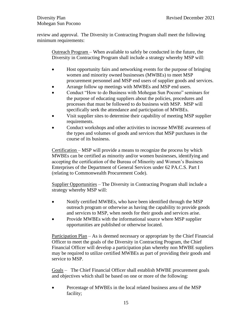review and approval. The Diversity in Contracting Program shall meet the following minimum requirements:

Outreach Program – When available to safely be conducted in the future, the Diversity in Contracting Program shall include a strategy whereby MSP will:

- Host opportunity fairs and networking events for the purpose of bringing women and minority owned businesses (MWBEs) to meet MSP procurement personnel and MSP end users of supplier goods and services.
- Arrange follow up meetings with MWBEs and MSP end users.
- Conduct "How to do Business with Mohegan Sun Pocono" seminars for the purpose of educating suppliers about the policies, procedures and processes that must be followed to do business with MSP. MSP will specifically seek the attendance and participation of MWBEs.
- Visit supplier sites to determine their capability of meeting MSP supplier requirements.
- Conduct workshops and other activities to increase MWBE awareness of the types and volumes of goods and services that MSP purchases in the course of its business.

Certification – MSP will provide a means to recognize the process by which MWBEs can be certified as minority and/or women businesses, identifying and accepting the certification of the Bureau of Minority and Women's Business Enterprises of the Department of General Services under 62 PA.C.S. Part I (relating to Commonwealth Procurement Code).

Supplier Opportunities – The Diversity in Contracting Program shall include a strategy whereby MSP will:

- Notify certified MWBEs, who have been identified through the MSP outreach program or otherwise as having the capability to provide goods and services to MSP, when needs for their goods and services arise.
- Provide MWBEs with the informational source where MSP supplier opportunities are published or otherwise located.

Participation Plan – As is deemed necessary or appropriate by the Chief Financial Officer to meet the goals of the Diversity in Contracting Program, the Chief Financial Officer will develop a participation plan whereby non MWBE suppliers may be required to utilize certified MWBEs as part of providing their goods and service to MSP.

Goals – The Chief Financial Officer shall establish MWBE procurement goals and objectives which shall be based on one or more of the following:

• Percentage of MWBEs in the local related business area of the MSP facility;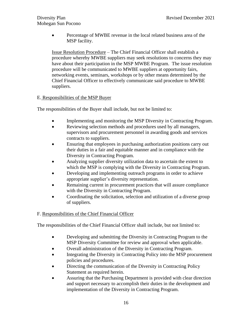• Percentage of MWBE revenue in the local related business area of the MSP facility.

Issue Resolution Procedure – The Chief Financial Officer shall establish a procedure whereby MWBE suppliers may seek resolutions to concerns they may have about their participation in the MSP MWBE Program. The issue resolution procedure will be communicated to MWBE suppliers at opportunity fairs, networking events, seminars, workshops or by other means determined by the Chief Financial Officer to effectively communicate said procedure to MWBE suppliers.

# E. Responsibilities of the MSP Buyer

The responsibilities of the Buyer shall include, but not be limited to:

- Implementing and monitoring the MSP Diversity in Contracting Program.
- Reviewing selection methods and procedures used by all managers, supervisors and procurement personnel in awarding goods and services contracts to suppliers.
- Ensuring that employees in purchasing authorization positions carry out their duties in a fair and equitable manner and in compliance with the Diversity in Contracting Program.
- Analyzing supplier diversity utilization data to ascertain the extent to which the MSP is complying with the Diversity in Contracting Program.
- Developing and implementing outreach programs in order to achieve appropriate supplier's diversity representation.
- Remaining current in procurement practices that will assure compliance with the Diversity in Contracting Program.
- Coordinating the solicitation, selection and utilization of a diverse group of suppliers.

# F. Responsibilities of the Chief Financial Officer

The responsibilities of the Chief Financial Officer shall include, but not limited to:

- Developing and submitting the Diversity in Contracting Program to the MSP Diversity Committee for review and approval when applicable.
- Overall administration of the Diversity in Contracting Program.
- Integrating the Diversity in Contracting Policy into the MSP procurement policies and procedures.
- Directing the communication of the Diversity in Contracting Policy Statement as required herein.
- Assuring that the Purchasing Department is provided with clear direction and support necessary to accomplish their duties in the development and implementation of the Diversity in Contracting Program.